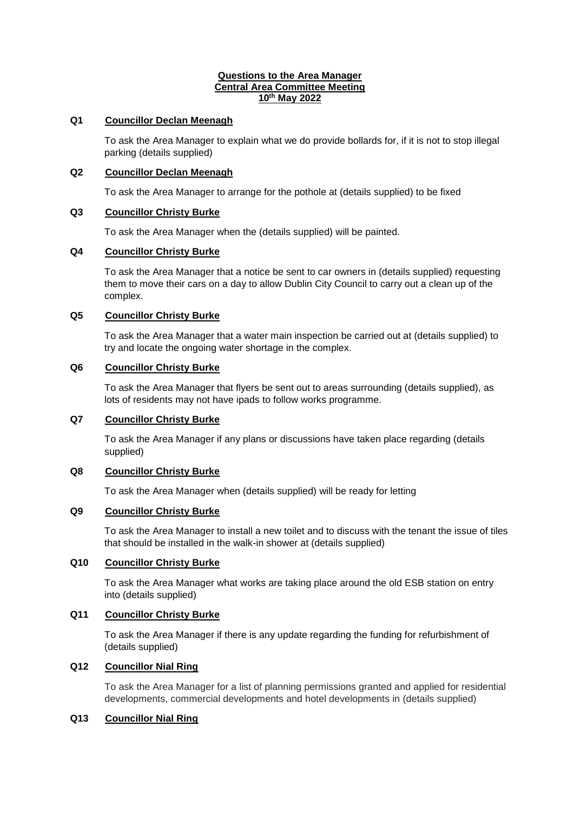#### **Questions to the Area Manager Central Area Committee Meeting 10 th May 2022**

### **Q1 Councillor Declan Meenagh**

To ask the Area Manager to explain what we do provide bollards for, if it is not to stop illegal parking (details supplied)

### **Q2 Councillor Declan Meenagh**

To ask the Area Manager to arrange for the pothole at (details supplied) to be fixed

# **Q3 Councillor Christy Burke**

To ask the Area Manager when the (details supplied) will be painted.

### **Q4 Councillor Christy Burke**

To ask the Area Manager that a notice be sent to car owners in (details supplied) requesting them to move their cars on a day to allow Dublin City Council to carry out a clean up of the complex.

### **Q5 Councillor Christy Burke**

To ask the Area Manager that a water main inspection be carried out at (details supplied) to try and locate the ongoing water shortage in the complex.

### **Q6 Councillor Christy Burke**

To ask the Area Manager that flyers be sent out to areas surrounding (details supplied), as lots of residents may not have ipads to follow works programme.

#### **Q7 Councillor Christy Burke**

To ask the Area Manager if any plans or discussions have taken place regarding (details supplied)

# **Q8 Councillor Christy Burke**

To ask the Area Manager when (details supplied) will be ready for letting

### **Q9 Councillor Christy Burke**

To ask the Area Manager to install a new toilet and to discuss with the tenant the issue of tiles that should be installed in the walk-in shower at (details supplied)

# **Q10 Councillor Christy Burke**

To ask the Area Manager what works are taking place around the old ESB station on entry into (details supplied)

# **Q11 Councillor Christy Burke**

To ask the Area Manager if there is any update regarding the funding for refurbishment of (details supplied)

# **Q12 Councillor Nial Ring**

To ask the Area Manager for a list of planning permissions granted and applied for residential developments, commercial developments and hotel developments in (details supplied)

# **Q13 Councillor Nial Ring**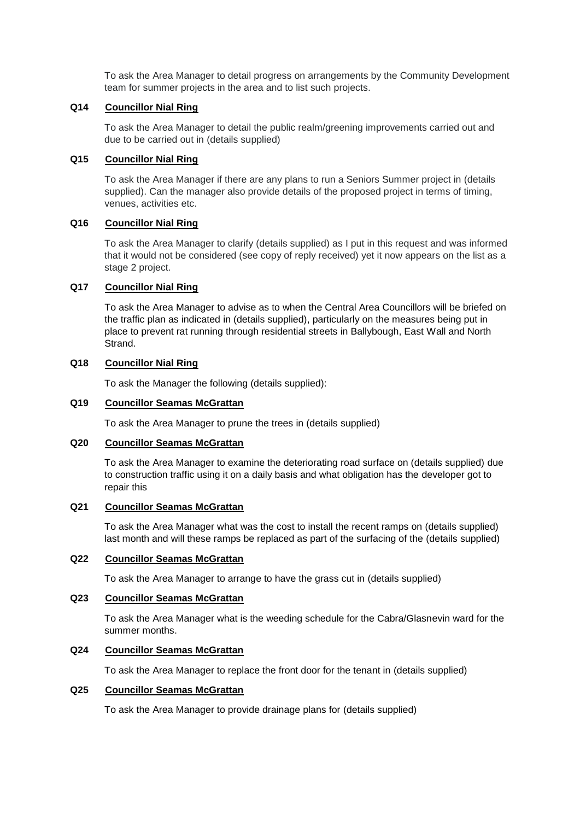To ask the Area Manager to detail progress on arrangements by the Community Development team for summer projects in the area and to list such projects.

# **Q14 Councillor Nial Ring**

To ask the Area Manager to detail the public realm/greening improvements carried out and due to be carried out in (details supplied)

# **Q15 Councillor Nial Ring**

To ask the Area Manager if there are any plans to run a Seniors Summer project in (details supplied). Can the manager also provide details of the proposed project in terms of timing, venues, activities etc.

### **Q16 Councillor Nial Ring**

To ask the Area Manager to clarify (details supplied) as I put in this request and was informed that it would not be considered (see copy of reply received) yet it now appears on the list as a stage 2 project.

### **Q17 Councillor Nial Ring**

To ask the Area Manager to advise as to when the Central Area Councillors will be briefed on the traffic plan as indicated in (details supplied), particularly on the measures being put in place to prevent rat running through residential streets in Ballybough, East Wall and North Strand.

### **Q18 Councillor Nial Ring**

To ask the Manager the following (details supplied):

### **Q19 Councillor Seamas McGrattan**

To ask the Area Manager to prune the trees in (details supplied)

# **Q20 Councillor Seamas McGrattan**

To ask the Area Manager to examine the deteriorating road surface on (details supplied) due to construction traffic using it on a daily basis and what obligation has the developer got to repair this

# **Q21 Councillor Seamas McGrattan**

To ask the Area Manager what was the cost to install the recent ramps on (details supplied) last month and will these ramps be replaced as part of the surfacing of the (details supplied)

# **Q22 Councillor Seamas McGrattan**

To ask the Area Manager to arrange to have the grass cut in (details supplied)

#### **Q23 Councillor Seamas McGrattan**

To ask the Area Manager what is the weeding schedule for the Cabra/Glasnevin ward for the summer months.

#### **Q24 Councillor Seamas McGrattan**

To ask the Area Manager to replace the front door for the tenant in (details supplied)

# **Q25 Councillor Seamas McGrattan**

To ask the Area Manager to provide drainage plans for (details supplied)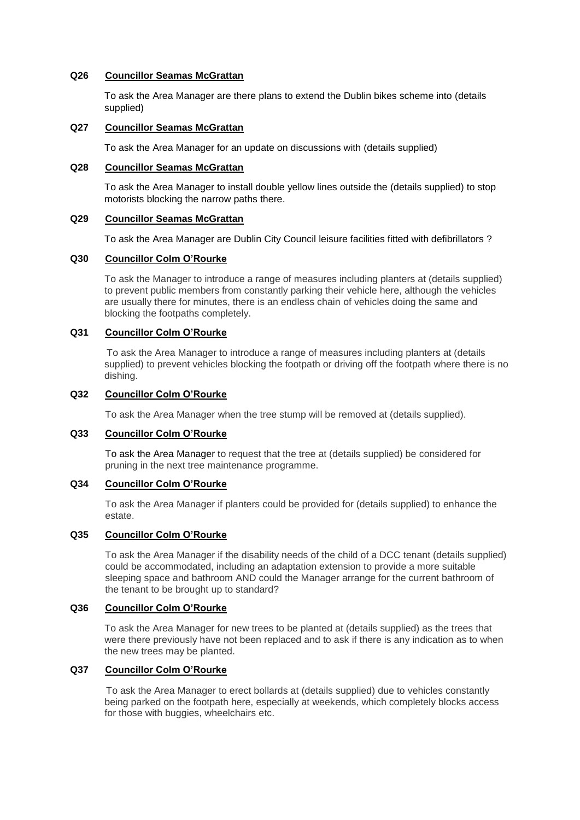# **Q26 Councillor Seamas McGrattan**

To ask the Area Manager are there plans to extend the Dublin bikes scheme into (details supplied)

# **Q27 Councillor Seamas McGrattan**

To ask the Area Manager for an update on discussions with (details supplied)

### **Q28 Councillor Seamas McGrattan**

To ask the Area Manager to install double yellow lines outside the (details supplied) to stop motorists blocking the narrow paths there.

# **Q29 Councillor Seamas McGrattan**

To ask the Area Manager are Dublin City Council leisure facilities fitted with defibrillators ?

### **Q30 Councillor Colm O'Rourke**

To ask the Manager to introduce a range of measures including planters at (details supplied) to prevent public members from constantly parking their vehicle here, although the vehicles are usually there for minutes, there is an endless chain of vehicles doing the same and blocking the footpaths completely.

### **Q31 Councillor Colm O'Rourke**

To ask the Area Manager to introduce a range of measures including planters at (details supplied) to prevent vehicles blocking the footpath or driving off the footpath where there is no dishing.

#### **Q32 Councillor Colm O'Rourke**

To ask the Area Manager when the tree stump will be removed at (details supplied).

# **Q33 Councillor Colm O'Rourke**

To ask the Area Manager to request that the tree at (details supplied) be considered for pruning in the next tree maintenance programme.

# **Q34 Councillor Colm O'Rourke**

To ask the Area Manager if planters could be provided for (details supplied) to enhance the estate.

#### **Q35 Councillor Colm O'Rourke**

To ask the Area Manager if the disability needs of the child of a DCC tenant (details supplied) could be accommodated, including an adaptation extension to provide a more suitable sleeping space and bathroom AND could the Manager arrange for the current bathroom of the tenant to be brought up to standard?

# **Q36 Councillor Colm O'Rourke**

To ask the Area Manager for new trees to be planted at (details supplied) as the trees that were there previously have not been replaced and to ask if there is any indication as to when the new trees may be planted.

### **Q37 Councillor Colm O'Rourke**

To ask the Area Manager to erect bollards at (details supplied) due to vehicles constantly being parked on the footpath here, especially at weekends, which completely blocks access for those with buggies, wheelchairs etc.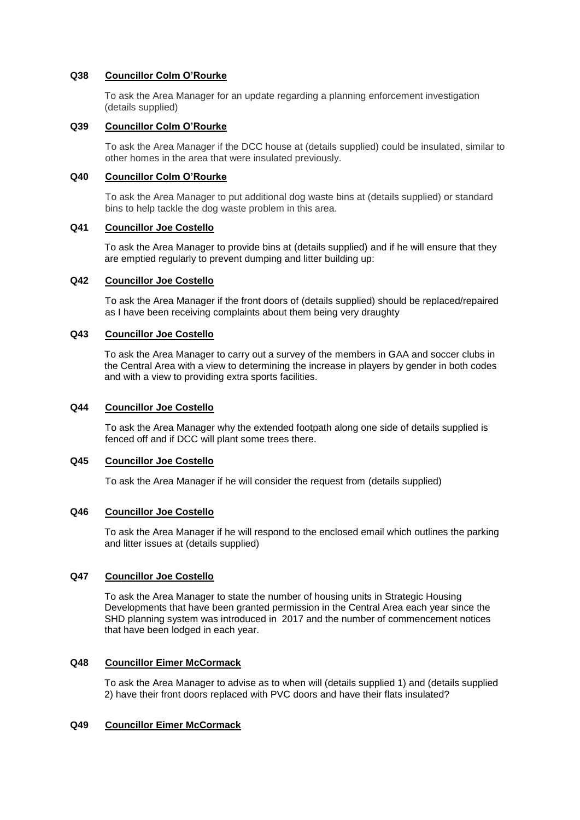## **Q38 Councillor Colm O'Rourke**

To ask the Area Manager for an update regarding a planning enforcement investigation (details supplied)

# **Q39 Councillor Colm O'Rourke**

To ask the Area Manager if the DCC house at (details supplied) could be insulated, similar to other homes in the area that were insulated previously.

### **Q40 Councillor Colm O'Rourke**

To ask the Area Manager to put additional dog waste bins at (details supplied) or standard bins to help tackle the dog waste problem in this area.

#### **Q41 Councillor Joe Costello**

To ask the Area Manager to provide bins at (details supplied) and if he will ensure that they are emptied regularly to prevent dumping and litter building up:

#### **Q42 Councillor Joe Costello**

To ask the Area Manager if the front doors of (details supplied) should be replaced/repaired as I have been receiving complaints about them being very draughty

### **Q43 Councillor Joe Costello**

To ask the Area Manager to carry out a survey of the members in GAA and soccer clubs in the Central Area with a view to determining the increase in players by gender in both codes and with a view to providing extra sports facilities.

#### **Q44 Councillor Joe Costello**

To ask the Area Manager why the extended footpath along one side of details supplied is fenced off and if DCC will plant some trees there.

### **Q45 Councillor Joe Costello**

To ask the Area Manager if he will consider the request from (details supplied)

#### **Q46 Councillor Joe Costello**

To ask the Area Manager if he will respond to the enclosed email which outlines the parking and litter issues at (details supplied)

#### **Q47 Councillor Joe Costello**

To ask the Area Manager to state the number of housing units in Strategic Housing Developments that have been granted permission in the Central Area each year since the SHD planning system was introduced in 2017 and the number of commencement notices that have been lodged in each year.

# **Q48 Councillor Eimer McCormack**

To ask the Area Manager to advise as to when will (details supplied 1) and (details supplied 2) have their front doors replaced with PVC doors and have their flats insulated?

#### **Q49 Councillor Eimer McCormack**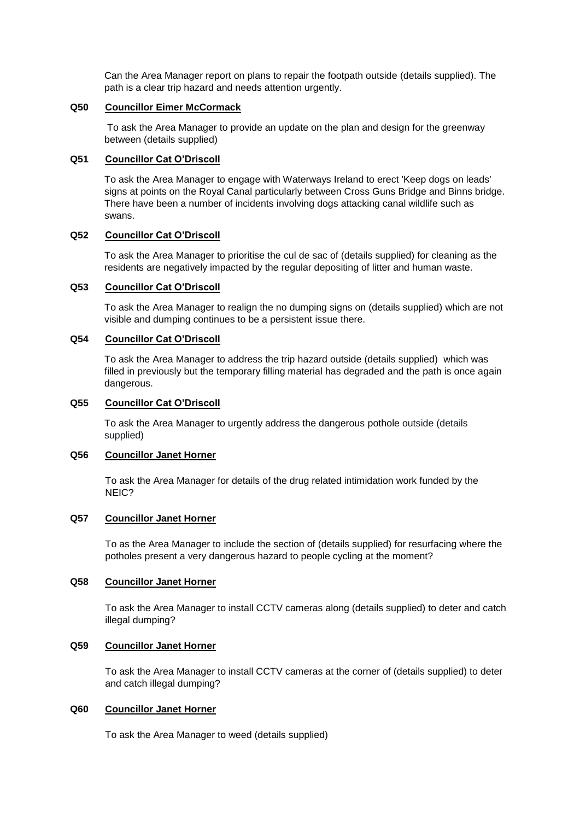Can the Area Manager report on plans to repair the footpath outside (details supplied). The path is a clear trip hazard and needs attention urgently.

# **Q50 Councillor Eimer McCormack**

To ask the Area Manager to provide an update on the plan and design for the greenway between (details supplied)

### **Q51 Councillor Cat O'Driscoll**

To ask the Area Manager to engage with Waterways Ireland to erect 'Keep dogs on leads' signs at points on the Royal Canal particularly between Cross Guns Bridge and Binns bridge. There have been a number of incidents involving dogs attacking canal wildlife such as swans.

### **Q52 Councillor Cat O'Driscoll**

To ask the Area Manager to prioritise the cul de sac of (details supplied) for cleaning as the residents are negatively impacted by the regular depositing of litter and human waste.

### **Q53 Councillor Cat O'Driscoll**

To ask the Area Manager to realign the no dumping signs on (details supplied) which are not visible and dumping continues to be a persistent issue there.

### **Q54 Councillor Cat O'Driscoll**

To ask the Area Manager to address the trip hazard outside (details supplied) which was filled in previously but the temporary filling material has degraded and the path is once again dangerous.

### **Q55 Councillor Cat O'Driscoll**

To ask the Area Manager to urgently address the dangerous pothole outside (details supplied)

# **Q56 Councillor Janet Horner**

To ask the Area Manager for details of the drug related intimidation work funded by the NEIC?

#### **Q57 Councillor Janet Horner**

To as the Area Manager to include the section of (details supplied) for resurfacing where the potholes present a very dangerous hazard to people cycling at the moment?

### **Q58 Councillor Janet Horner**

To ask the Area Manager to install CCTV cameras along (details supplied) to deter and catch illegal dumping?

### **Q59 Councillor Janet Horner**

To ask the Area Manager to install CCTV cameras at the corner of (details supplied) to deter and catch illegal dumping?

### **Q60 Councillor Janet Horner**

To ask the Area Manager to weed (details supplied)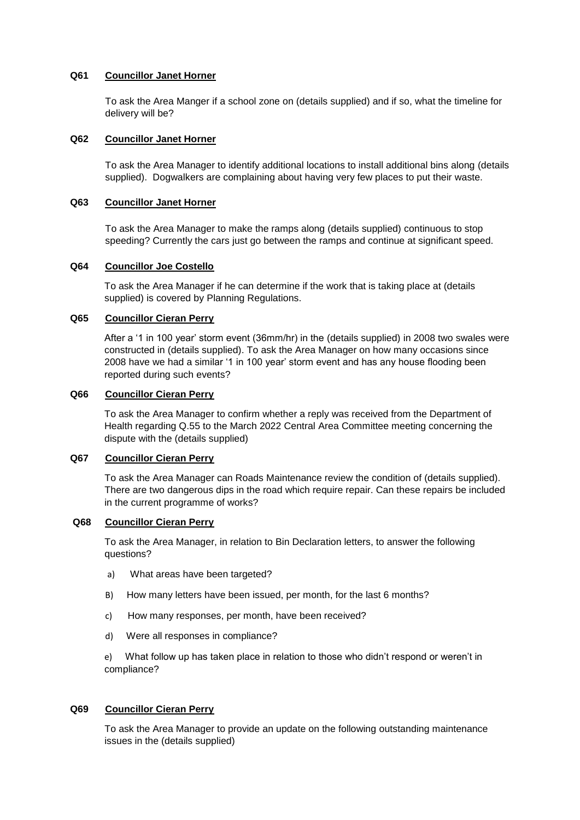#### **Q61 Councillor Janet Horner**

To ask the Area Manger if a school zone on (details supplied) and if so, what the timeline for delivery will be?

#### **Q62 Councillor Janet Horner**

To ask the Area Manager to identify additional locations to install additional bins along (details supplied). Dogwalkers are complaining about having very few places to put their waste.

#### **Q63 Councillor Janet Horner**

To ask the Area Manager to make the ramps along (details supplied) continuous to stop speeding? Currently the cars just go between the ramps and continue at significant speed.

#### **Q64 Councillor Joe Costello**

To ask the Area Manager if he can determine if the work that is taking place at (details supplied) is covered by Planning Regulations.

# **Q65 Councillor Cieran Perry**

After a '1 in 100 year' storm event (36mm/hr) in the (details supplied) in 2008 two swales were constructed in (details supplied). To ask the Area Manager on how many occasions since 2008 have we had a similar '1 in 100 year' storm event and has any house flooding been reported during such events?

#### **Q66 Councillor Cieran Perry**

To ask the Area Manager to confirm whether a reply was received from the Department of Health regarding Q.55 to the March 2022 Central Area Committee meeting concerning the dispute with the (details supplied)

#### **Q67 Councillor Cieran Perry**

To ask the Area Manager can Roads Maintenance review the condition of (details supplied). There are two dangerous dips in the road which require repair. Can these repairs be included in the current programme of works?

### **Q68 Councillor Cieran Perry**

To ask the Area Manager, in relation to Bin Declaration letters, to answer the following questions?

- a) What areas have been targeted?
- B) How many letters have been issued, per month, for the last 6 months?
- c) How many responses, per month, have been received?
- d) Were all responses in compliance?

e) What follow up has taken place in relation to those who didn't respond or weren't in compliance?

# **Q69 Councillor Cieran Perry**

To ask the Area Manager to provide an update on the following outstanding maintenance issues in the (details supplied)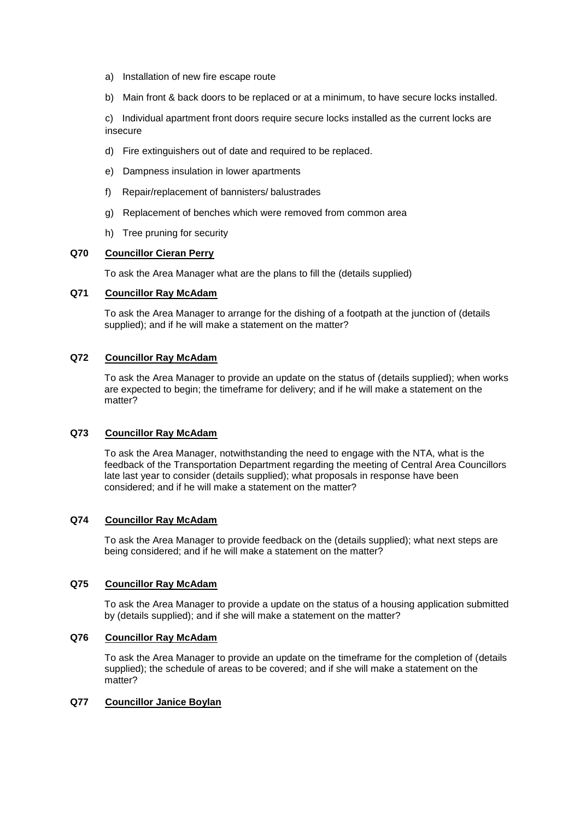- a) Installation of new fire escape route
- b) Main front & back doors to be replaced or at a minimum, to have secure locks installed.

c) Individual apartment front doors require secure locks installed as the current locks are insecure

- d) Fire extinguishers out of date and required to be replaced.
- e) Dampness insulation in lower apartments
- f) Repair/replacement of bannisters/ balustrades
- g) Replacement of benches which were removed from common area
- h) Tree pruning for security

### **Q70 Councillor Cieran Perry**

To ask the Area Manager what are the plans to fill the (details supplied)

# **Q71 Councillor Ray McAdam**

To ask the Area Manager to arrange for the dishing of a footpath at the junction of (details supplied); and if he will make a statement on the matter?

# **Q72 Councillor Ray McAdam**

To ask the Area Manager to provide an update on the status of (details supplied); when works are expected to begin; the timeframe for delivery; and if he will make a statement on the matter?

# **Q73 Councillor Ray McAdam**

To ask the Area Manager, notwithstanding the need to engage with the NTA, what is the feedback of the Transportation Department regarding the meeting of Central Area Councillors late last year to consider (details supplied); what proposals in response have been considered; and if he will make a statement on the matter?

### **Q74 Councillor Ray McAdam**

To ask the Area Manager to provide feedback on the (details supplied); what next steps are being considered; and if he will make a statement on the matter?

#### **Q75 Councillor Ray McAdam**

To ask the Area Manager to provide a update on the status of a housing application submitted by (details supplied); and if she will make a statement on the matter?

### **Q76 Councillor Ray McAdam**

To ask the Area Manager to provide an update on the timeframe for the completion of (details supplied); the schedule of areas to be covered; and if she will make a statement on the matter?

### **Q77 Councillor Janice Boylan**